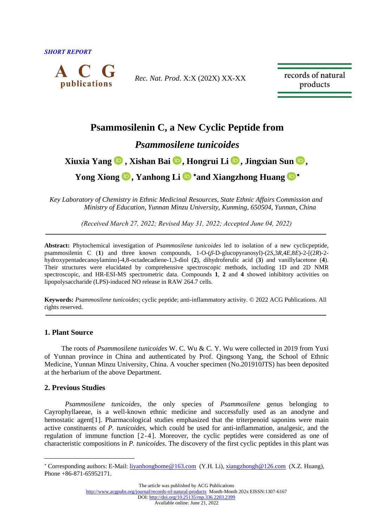*SHORT REPORT* 



*Rec. Nat. Prod*. X:X (202X) XX-XX

records of natural products

# **Psammosilenin C, a New Cyclic Peptide from**

## *Psammosilene tunicoides*

# **Xiuxia Yang , Xishan Bai [,](http://orcid.org/0000-0001-9118-3057) Hongrui Li [,](http://orcid.org/0000-0002-1689-9423) Jingxian Sun [,](http://orcid.org/0000-0002-9398-9617)**

**Yong Xiong [,](http://orcid.org/0000-0002-2308-7116) Yanhong Li and Xiangzhong Huang**

*Key Laboratory of Chemistry in Ethnic Medicinal Resources, State Ethnic Affairs Commission and Ministry of Education, Yunnan Minzu University, Kunming, 650504, Yunnan, China*

*(Received March 27, 2022; Revised May 31, 2022; Accepted June 04, 2022)*

**Abstract:** Phytochemical investigation of *Psammosilene tunicoides* led to isolation of a new cyclicpeptide, psammosilenin C (**1**) and three known compounds, 1-O-(*β*-D-glucopyranosyl)-(2*S*,3*R*,4*E*,8*E*)-2-[(2*R*)-2 hydroxypentadecanoylamino]-4,8-octadecadiene-1,3-diol (**2**), dihydroferulic acid (**3**) and vanillylacetone (**4**). Their structures were elucidated by comprehensive spectroscopic methods, including 1D and 2D NMR spectroscopic, and HR-ESI-MS spectrometric data. Compounds **1**, **2** and **4** showed inhibitory activities on lipopolysaccharide (LPS)-induced NO release in RAW 264.7 cells.

**Keywords:** *Psammosilene tunicoides*; cyclic peptide; anti-inflammatory activity. © 2022 ACG Publications. All rights reserved.

## **1. Plant Source**

The roots of *Psammosilene tunicoides* W. C. Wu & C. Y. Wu were collected in 2019 from Yuxi of Yunnan province in China and authenticated by Prof. Qingsong Yang, the School of Ethnic Medicine, Yunnan Minzu University, China. A voucher specimen (No.201910JTS) has been deposited at the herbarium of the above Department.

## **2. Previous Studies**

*Psammosilene tunicoides*, the only species of *Psammosilene* genus belonging to Cayrophyllaeeae, is a well-known ethnic medicine and successfully used as an anodyne and hemostatic agent<sup>[1]</sup>. Pharmacological studies emphasized that the triterpenoid saponins were main active constituents of *P. tunicoides*, which could be used for anti-inflammation, analgesic, and the regulation of immune function [2-4]. Moreover, the cyclic peptides were considered as one of characteristic compositions in *P. tunicoides*. The discovery of the first cyclic peptides in this plant was

The article was published by ACG Publications

<http://www.acgpubs.org/journal/records-of-natural-products> Month-Month 202x EISSN:1307-6167

DOI[: http://doi.org/10.25135/rnp.336.2203.2399](http://doi.org/10.25135/rnp.336.2203.2399)

Available online: June 21, 2022

Corresponding authors: E-Mail: [liyanhonghome@163.com](mailto:liyanhonghome@163.com) (Y.H. Li), [xiangzhongh@126.com](mailto:xiangzhongh@126.com) (X.Z. Huang), Phone +86-871-65952171.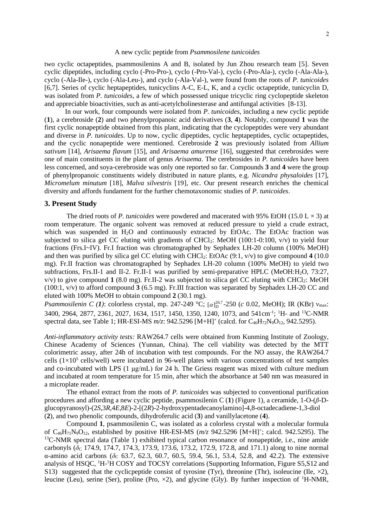#### A new cyclic peptide from *Psammosilene tunicoides*

two cyclic octapeptides, psammosilenins A and B, isolated by Jun Zhou research team [5]. Seven cyclic dipeptides, including cyclo (-Pro-Pro-), cyclo (-Pro-Val-), cyclo (-Pro-Ala-), cyclo (-Ala-Ala-), cyclo (-Ala-Ile-), cyclo (-Ala-Leu-), and cyclo (-Ala-Val-), were found from the roots of *P. tunicoides* [6,7]. Series of cyclic heptapeptides, tunicyclins A-C, E-L, K, and a cyclic octapeptide, tunicyclin D, was isolated from *P. tunicoides*, a few of which possessed unique tricyclic ring cyclopeptide skeleton and appreciable bioactivities, such as anti-acetylcholinesterase and antifungal activities [8-13].

In our work, four compounds were isolated from *P. tunicoides*, including a new cyclic peptide (**1**), a cerebroside (**2**) and two phenylpropanoic acid derivatives (**3**, **4**). Notably, compound **1** was the first cyclic nonapeptide obtained from this plant, indicating that the cyclopeptides were very abundant and diverse in *P. tunicoides*. Up to now, cyclic dipeptides, cyclic heptapeptides, cyclic octapeptides, and the cyclic nonapeptide were mentioned. Cerebroside **2** was previously isolated from *Allium sativum* [14], *Arisaema flavum* [15], and *Arisaema amurense* [16], suggested that cerebrosides were one of main constituents in the plant of genus *Arisaema*. The cerebrosides in *P. tunicoides* have been less concerned, and soya-cerebroside was only one reported so far. Compounds **3** and **4** were the group of phenylpropanoic constituents widely distributed in nature plants, e.g. *Nicandra physaloides* [17], *Micromelum minutum* [18], *Malva silvestris* [19], etc. Our present research enriches the chemical diversity and affords fundament for the further chemotaxonomic studies of *P. tunicoides*.

### **3. Present Study**

The dried roots of *P. tunicoides* were powdered and macerated with 95% EtOH (15.0 L  $\times$  3) at room temperature. The organic solvent was removed at reduced pressure to yield a crude extract, which was suspended in H<sub>2</sub>O and continuously extracted by EtOAc. The EtOAc fraction was subjected to silica gel CC eluting with gradients of CHCl<sub>2</sub>: MeOH (100:1-0:100, v/v) to yield four fractions (Frs.I~IV). Fr.I fraction was chromatographed by Sephadex LH-20 column (100% MeOH) and then was purified by silica gel CC eluting with CHCl<sub>2</sub>: EtOAc (9:1, v/v) to give compound **4** (10.0) mg). Fr.II fraction was chromatographed by Sephadex LH-20 column (100% MeOH) to yield two subfractions, Frs.II-1 and II-2. Fr.II-1 was purified by semi-preparative HPLC (MeOH:H<sub>2</sub>O, 73:27,  $v/v$ ) to give compound 1 (8.0 mg). Fr.II-2 was subjected to silica gel CC eluting with CHCl<sub>2</sub>: MeOH (100:1, v/v) to afford compound **3** (6.5 mg). Fr.III fraction was separated by Sephadex LH-20 CC and eluted with 100% MeOH to obtain compound **2** (30.1 mg).

*Psammosilenin C (1)*: colorless crystal, mp. 247-249 °C; [*α*]<sup>267</sup>-250 (*c* 0.02, MeOH); IR (KBr) ν<sub>max</sub>: 3400, 2964, 2877, 2361, 2027, 1634, 1517, 1450, 1350, 1240, 1073, and 541cm<sup>-1</sup>; <sup>1</sup>H- and <sup>13</sup>C-NMR spectral data, see Table 1; HR-ESI-MS  $m/z$ : 942.5296 [M+H]<sup>+</sup> (calcd. for C<sub>46</sub>H<sub>72</sub>N<sub>9</sub>O<sub>12</sub>, 942.5295).

*Anti-inflammatory activity tests:* RAW264.7 cells were obtained from Kunming Institute of Zoology, Chinese Academy of Sciences (Yunnan, China). The cell viability was detected by the MTT colorimetric assay, after 24h of incubation with test compounds. For the NO assay, the RAW264.7 cells  $(1\times10^5 \text{ cells/well})$  were incubated in 96-well plates with various concentrations of test samples and co-incubated with LPS (1 μg/mL) for 24 h. The Griess reagent was mixed with culture medium and incubated at room temperature for 15 min, after which the absorbance at 540 nm was measured in a microplate reader.

The ethanol extract from the roots of *P. tunicoides* was subjected to conventional purification procedures and affording a new cyclic peptide, psammosilenin C (**1**) (Figure 1), a ceramide, 1-O-(*β*-Dglucopyranosyl)-(2*S*,3*R*,4*E*,8*E*)-2-[(2*R*)-2-hydroxypentadecanoylamino]-4,8-octadecadiene-1,3-diol (**2**), and two phenolic compounds, dihydroferulic acid (**3**) and vanillylacetone (**4**).

Compound **1**, psammosilenin C, was isolated as a colorless crystal with a molecular formula of  $C_{46}H_{71}N_9O_{12}$ , established by positive HR-ESI-MS ( $m/z$  942.5296 [M+H]<sup>+</sup>; calcd. 942.5295). The <sup>13</sup>C-NMR spectral data (Table 1) exhibited typical carbon resonance of nonapeptide, i.e., nine amide carbonyls ( $\delta_c$  174.9, 174.7, 174.3, 173.9, 173.6, 173.2, 172.9, 172.8, and 171.1) along to nine normal α-amino acid carbons (δ<sub>C</sub> 63.7, 62.3, 60.7, 60.5, 59.4, 56.1, 53.4, 52.8, and 42.2). The extensive analysis of HSQC, <sup>1</sup>H-<sup>1</sup>H COSY and TOCSY correlations (Supporting Information, Figure S5, S12 and S13) suggested that the cyclicpeptide consist of tyrosine (Tyr), threonine (Thr), isoleucine (Ile,  $\times$ 2), leucine (Leu), serine (Ser), proline (Pro,  $\times$ 2), and glycine (Gly). By further inspection of <sup>1</sup>H-NMR,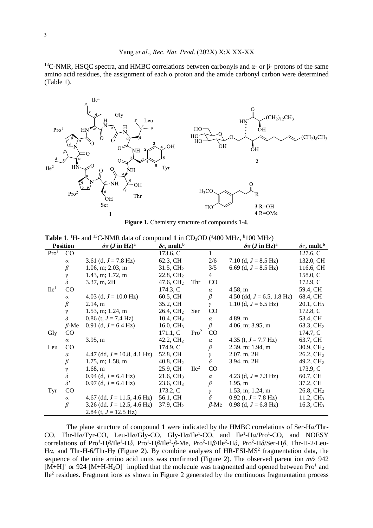<sup>13</sup>C-NMR, HSOC spectra, and HMBC correlations between carbonyls and  $\alpha$ - or β- protons of the same amino acid residues, the assignment of each  $\alpha$  proton and the amide carbonyl carbon were determined (Table 1).



**Figure 1.** Chemistry structure of compounds **1**-**4**.

|  |  |  |  | <b>Table 1.</b> <sup>1</sup> H- and <sup>13</sup> C-NMR data of compound 1 in CD <sub>3</sub> OD ( $400$ MHz, $6100$ MHz) |  |  |  |
|--|--|--|--|---------------------------------------------------------------------------------------------------------------------------|--|--|--|
|--|--|--|--|---------------------------------------------------------------------------------------------------------------------------|--|--|--|

| <b>Position</b>  |             | $\delta$ H ( <i>J</i> in Hz) <sup>a</sup> | $\delta c$ , mult. <sup>b</sup> |                  |             | $\delta_{\rm H}$ ( <i>J</i> in Hz) <sup>a</sup> | $\delta c$ , mult. <sup>b</sup> |
|------------------|-------------|-------------------------------------------|---------------------------------|------------------|-------------|-------------------------------------------------|---------------------------------|
| Pro <sup>1</sup> | CO          |                                           | 173.6, C                        |                  | 1           |                                                 | 127.6, C                        |
|                  | $\alpha$    | 3.61 (d, $J = 7.8$ Hz)                    | 62.3, CH                        |                  | 2/6         | 7.10 (d, $J = 8.5$ Hz)                          | 132.0, CH                       |
|                  | $\beta$     | $1.06$ , m; $2.03$ , m                    | $31.5, \mathrm{CH}_2$           |                  | 3/5         | 6.69 (d, $J = 8.5$ Hz)                          | 116.6, CH                       |
|                  | γ           | $1.43$ , m; 1.72, m                       | $22.8, \mathrm{CH}_2$           |                  | 4           |                                                 | 158.0, C                        |
|                  | $\delta$    | 3.37, m, 2H                               | 47.6, $CH2$                     | Thr              | $\rm CO$    |                                                 | 172.9, C                        |
| Ile <sup>1</sup> | $\rm CO$    |                                           | 174.3, C                        |                  | $\alpha$    | 4.58, m                                         | 59.4, CH                        |
|                  | $\alpha$    | 4.03 (d, $J = 10.0$ Hz)                   | 60.5, CH                        |                  | $_{\beta}$  | 4.50 (dd, $J = 6.5$ , 1.8 Hz)                   | 68.4, CH                        |
|                  | $\beta$     | 2.14, m                                   | 35.2, CH                        |                  | $\gamma$    | 1.10 (d, $J = 6.5$ Hz)                          | $20.1, \text{CH}_3$             |
|                  | γ           | $1.53$ , m; 1.24, m                       | 26.4, CH <sub>2</sub>           | Ser              | $\rm CO$    |                                                 | 172.8, C                        |
|                  | $\delta$    | $0.86$ (t, $J = 7.4$ Hz)                  | 10.4, CH <sub>3</sub>           |                  | $\alpha$    | 4.89, m                                         | 53.4, CH                        |
|                  | $\beta$ -Me | 0.91 (d, $J = 6.4$ Hz)                    | 16.0, $CH3$                     |                  | β           | $4.06$ , m; $3.95$ , m                          | 63.3, $CH2$                     |
| Gly              | CO          |                                           | 171.1, C                        | Pro <sup>2</sup> | $\rm CO$    |                                                 | 174.7, C                        |
|                  | $\alpha$    | 3.95, m                                   | 42.2, CH <sub>2</sub>           |                  | $\alpha$    | 4.35 (t, $J = 7.7$ Hz)                          | 63.7, CH                        |
| Leu              | CO          |                                           | 174.9, C                        |                  | β           | 2.39, m; 1.94, m                                | 30.9, CH <sub>2</sub>           |
|                  | $\alpha$    | 4.47 (dd, $J = 10.8$ , 4.1 Hz)            | 52.8, CH                        |                  | γ           | 2.07, m, 2H                                     | $26.2, \mathrm{CH}_2$           |
|                  | $\beta$     | $1.75$ , m; 1.58, m                       | 40.8, CH <sub>2</sub>           |                  | $\delta$    | $3.94$ , m, $2H$                                | 49.2, CH <sub>2</sub>           |
|                  | γ           | 1.68, m                                   | 25.9, CH                        | Ile <sup>2</sup> | CO          |                                                 | 173.9, C                        |
|                  | $\delta$    | 0.94 (d, $J = 6.4$ Hz)                    | $21.6, \mathrm{CH}_3$           |                  | $\alpha$    | 4.23 (d, $J = 7.3$ Hz)                          | 60.7, CH                        |
|                  | $\delta'$   | $0.97$ (d, $J = 6.4$ Hz)                  | 23.6, CH <sub>3</sub>           |                  | $\beta$     | 1.95, m                                         | 37.2, CH                        |
| Tyr              | $\rm CO$    |                                           | 173.2, C                        |                  | γ           | $1.53$ , m; 1.24, m                             | 26.8, CH <sub>2</sub>           |
|                  | $\alpha$    | 4.67 (dd, $J = 11.5$ , 4.6 Hz)            | 56.1, CH                        |                  | $\delta$    | 0.92 (t, $J = 7.8$ Hz)                          | 11.2, $CH3$                     |
|                  | $\beta$     | 3.26 (dd, $J = 12.5$ , 4.6 Hz)            | 37.9, CH <sub>2</sub>           |                  | $\beta$ -Me | $0.98$ (d, $J = 6.8$ Hz)                        | 16.3, CH <sub>3</sub>           |
|                  |             | 2.84 (t, $J = 12.5$ Hz)                   |                                 |                  |             |                                                 |                                 |

The plane structure of compound **1** were indicated by the HMBC correlations of Ser-H*α*/Thr-CO, Thr-Hα/Tyr-CO, Leu-Hα/Gly-CO, Gly-Hα/Ile<sup>1</sup>-CO, and Ile<sup>1</sup>-Hα/Pro<sup>1</sup>-CO, and NOESY correlations of Pro<sup>1</sup>-Ηβ/Ile<sup>1</sup>-Ηδ, Pro<sup>1</sup>-Ηβ/Ile<sup>2</sup>-β-Me, Pro<sup>2</sup>-Ηβ/Ile<sup>2</sup>-Ηδ, Pro<sup>2</sup>-Ηδ/Ser-Ηβ, Thr-H-2/Leu-Hα, and Thr-H-6/Thr-Hγ (Figure 2). By combine analyses of HR-ESI-MS<sup>2</sup> fragmentation data, the sequence of the nine amino acid units was confirmed (Figure 2). The observed parent ion *m/z* 942  $[M+H]$ <sup>+</sup> or 924 [M+H-H<sub>2</sub>O]<sup>+</sup> implied that the molecule was fragmented and opened between Pro<sup>1</sup> and Ile<sup>2</sup> residues. Fragment ions as shown in Figure 2 generated by the continuous fragmentation process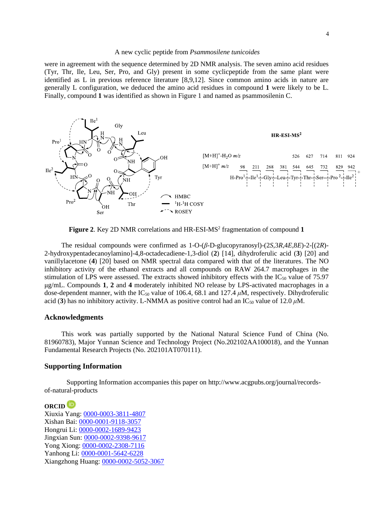#### A new cyclic peptide from *Psammosilene tunicoides*

were in agreement with the sequence determined by 2D NMR analysis. The seven amino acid residues (Tyr, Thr, Ile, Leu, Ser, Pro, and Gly) present in some cyclicpeptide from the same plant were identified as L in previous reference literature [8,9,12]. Since common amino acids in nature are generally L configuration, we deduced the amino acid residues in compound **1** were likely to be L. Finally, compound **1** was identified as shown in Figure 1 and named as psammosilenin C.



Figure 2. Key 2D NMR correlations and HR-ESI-MS<sup>2</sup> fragmentation of compound 1

The residual compounds were confirmed as 1-O-(*β*-D-glucopyranosyl)-(2*S*,3*R*,4*E*,8*E*)-2-[(2*R*)- 2-hydroxypentadecanoylamino]-4,8-octadecadiene-1,3-diol (**2**) [14], dihydroferulic acid (**3**) [20] and vanillylacetone (**4**) [20] based on NMR spectral data compared with that of the literatures. The NO inhibitory activity of the ethanol extracts and all compounds on RAW 264.7 macrophages in the stimulation of LPS were assessed. The extracts showed inhibitory effects with the  $IC_{50}$  value of 75.97 μg/mL. Compounds **1**, **2** and **4** moderately inhibited NO release by LPS-activated macrophages in a dose-dependent manner, with the IC<sub>50</sub> value of 106.4, 68.1 and 127.4  $\mu$ M, respectively. Dihydroferulic acid (3) has no inhibitory activity. L-NMMA as positive control had an IC<sub>50</sub> value of 12.0  $\mu$ M.

### **Acknowledgments**

This work was partially supported by the National Natural Science Fund of China (No. 81960783), Major Yunnan Science and Technology Project (No.202102AA100018), and the Yunnan Fundamental Research Projects (No. 202101AT070111).

#### **Supporting Information**

Supporting Information accompanies this paper on http://www.acgpubs.org/journal/recordsof-natural-products

### **ORCID**

Xiuxia Yang: [0000-0003-3811-4807](http://orcid.org/0000-0003-3811-4807) Xishan Bai: [0000-0001-9118-3057](http://orcid.org/0000-0001-9118-3057) Hongrui Li: [0000-0002-1689-9423](http://orcid.org/0000-0002-1689-9423) Jingxian Sun: [0000-0002-9398-9617](http://orcid.org/0000-0002-9398-9617) Yong Xiong: [0000-0002-2308-7116](http://orcid.org/0000-0002-2308-7116) Yanhong Li: [0000-0001-5642-6228](http://orcid.org/0000-0001-5642-6228) Xiangzhong Huang: [0000-0002-5052-3067](http://orcid.org/0000-0002-5052-3067)